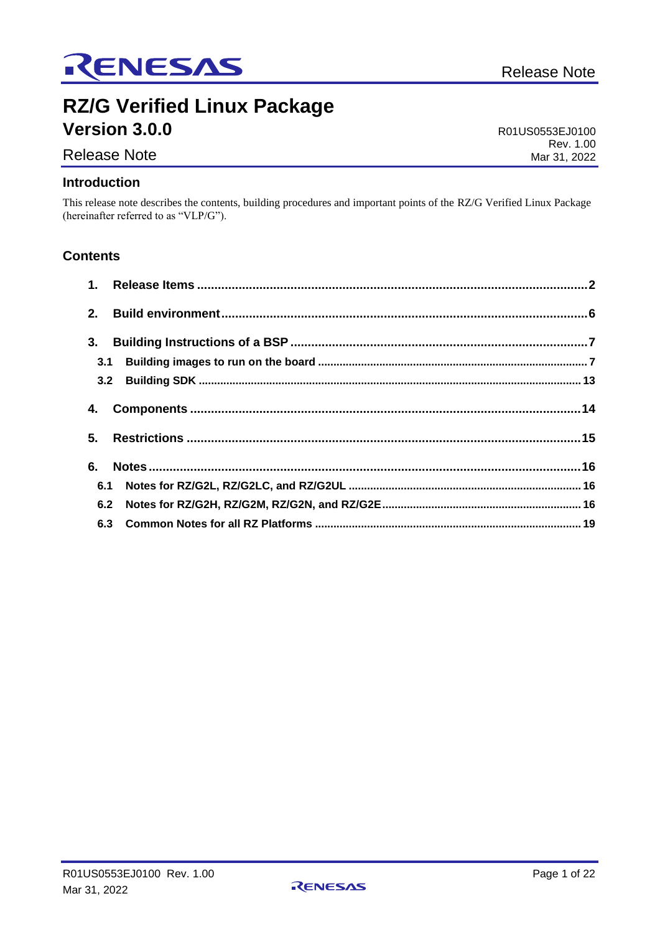

## **RZ/G Verified Linux Package Version 3.0.0**

R01US0553EJ0100 Rev. 1.00 Mar 31, 2022

# Release Note

**Introduction**

This release note describes the contents, building procedures and important points of the RZ/G Verified Linux Package (hereinafter referred to as "VLP/G").

## **Contents**

| 3.  |  |
|-----|--|
| 3.1 |  |
|     |  |
|     |  |
|     |  |
| 6.  |  |
|     |  |
|     |  |
|     |  |

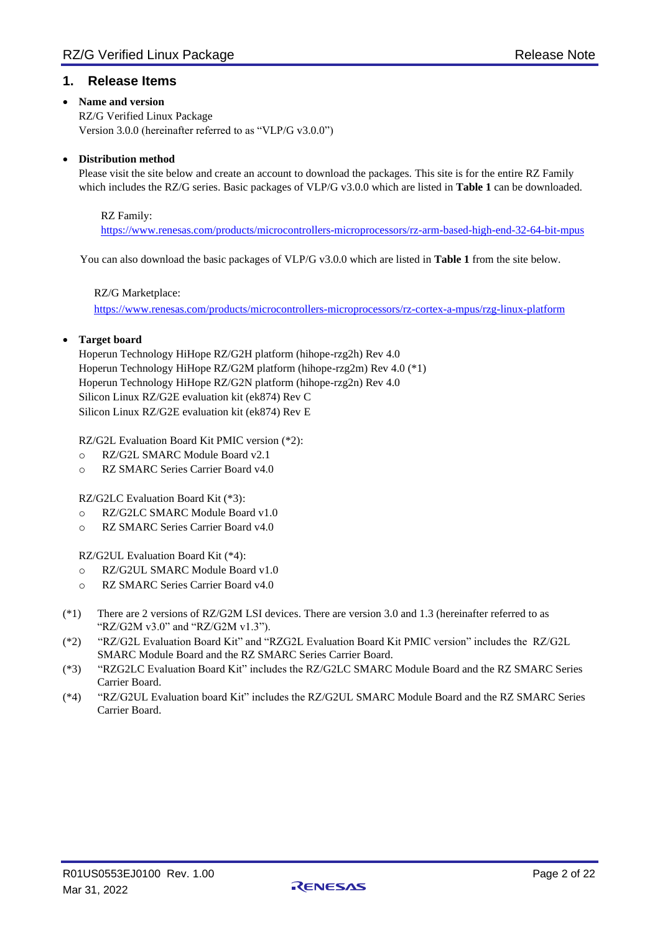## <span id="page-1-0"></span>**1. Release Items**

#### • **Name and version**

RZ/G Verified Linux Package Version 3.0.0 (hereinafter referred to as "VLP/G v3.0.0")

#### • **Distribution method**

Please visit the site below and create an account to download the packages. This site is for the entire RZ Family which includes the RZ/G series. Basic packages of VLP/G v3.0.0 which are listed in **[Table 1](#page-3-0)** can be downloaded.

#### RZ Family:

<https://www.renesas.com/products/microcontrollers-microprocessors/rz-arm-based-high-end-32-64-bit-mpus>

You can also download the basic packages of VLP/G v3.0.0 which are listed in **[Table 1](#page-3-0)** from the site below.

#### RZ/G Marketplace:

<https://www.renesas.com/products/microcontrollers-microprocessors/rz-cortex-a-mpus/rzg-linux-platform>

#### • **Target board**

Hoperun Technology HiHope RZ/G2H platform (hihope-rzg2h) Rev 4.0 Hoperun Technology HiHope RZ/G2M platform (hihope-rzg2m) Rev 4.0 (\*1) Hoperun Technology HiHope RZ/G2N platform (hihope-rzg2n) Rev 4.0 Silicon Linux RZ/G2E evaluation kit (ek874) Rev C Silicon Linux RZ/G2E evaluation kit (ek874) Rev E

RZ/G2L Evaluation Board Kit PMIC version (\*2):

- o RZ/G2L SMARC Module Board v2.1
- o RZ SMARC Series Carrier Board v4.0

RZ/G2LC Evaluation Board Kit (\*3):

- o RZ/G2LC SMARC Module Board v1.0
- o RZ SMARC Series Carrier Board v4.0

RZ/G2UL Evaluation Board Kit (\*4):

- o RZ/G2UL SMARC Module Board v1.0
- o RZ SMARC Series Carrier Board v4.0
- (\*1) There are 2 versions of RZ/G2M LSI devices. There are version 3.0 and 1.3 (hereinafter referred to as "RZ/G2M v3.0" and "RZ/G2M v1.3").
- (\*2) "RZ/G2L Evaluation Board Kit" and "RZG2L Evaluation Board Kit PMIC version" includes the RZ/G2L SMARC Module Board and the RZ SMARC Series Carrier Board.
- (\*3) "RZG2LC Evaluation Board Kit" includes the RZ/G2LC SMARC Module Board and the RZ SMARC Series Carrier Board.
- (\*4) "RZ/G2UL Evaluation board Kit" includes the RZ/G2UL SMARC Module Board and the RZ SMARC Series Carrier Board.

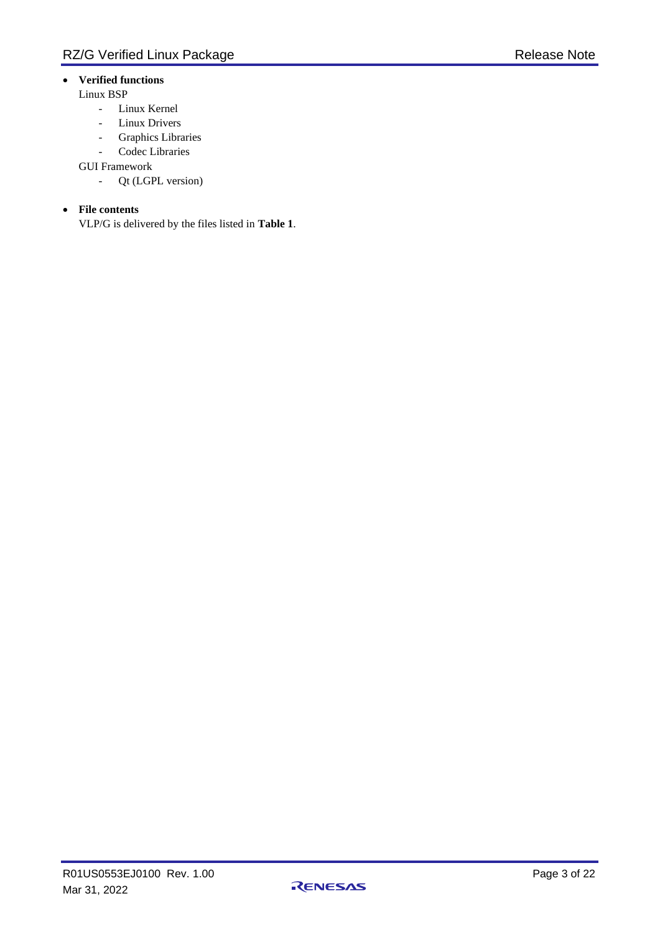## • **Verified functions**

#### Linux BSP

- Linux Kernel
- Linux Drivers
- Graphics Libraries
- Codec Libraries

GUI Framework

- Qt (LGPL version)

#### • **File contents**

VLP/G is delivered by the files listed in **[Table 1](#page-3-0)**.

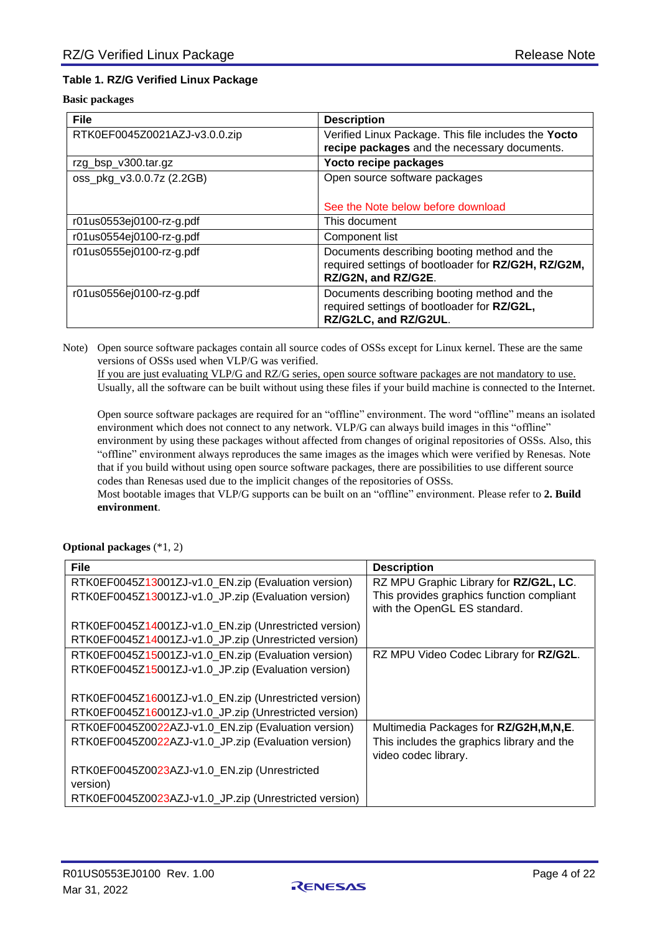#### <span id="page-3-0"></span>**Table 1. RZ/G Verified Linux Package**

#### **Basic packages**

| <b>File</b>                   | <b>Description</b>                                                                                                        |
|-------------------------------|---------------------------------------------------------------------------------------------------------------------------|
| RTK0EF0045Z0021AZJ-v3.0.0.zip | Verified Linux Package. This file includes the Yocto<br>recipe packages and the necessary documents.                      |
| rzg_bsp_v300.tar.gz           | Yocto recipe packages                                                                                                     |
| oss_pkg_v3.0.0.7z (2.2GB)     | Open source software packages                                                                                             |
|                               | See the Note below before download                                                                                        |
| r01us0553ej0100-rz-g.pdf      | This document                                                                                                             |
| r01us0554ej0100-rz-g.pdf      | Component list                                                                                                            |
| r01us0555ej0100-rz-g.pdf      | Documents describing booting method and the<br>required settings of bootloader for RZ/G2H, RZ/G2M,<br>RZ/G2N, and RZ/G2E. |
| r01us0556ej0100-rz-g.pdf      | Documents describing booting method and the<br>required settings of bootloader for RZ/G2L,<br>RZ/G2LC, and RZ/G2UL.       |

Note) Open source software packages contain all source codes of OSSs except for Linux kernel. These are the same versions of OSSs used when VLP/G was verified.

If you are just evaluating VLP/G and RZ/G series, open source software packages are not mandatory to use. Usually, all the software can be built without using these files if your build machine is connected to the Internet.

Open source software packages are required for an "offline" environment. The word "offline" means an isolated environment which does not connect to any network. VLP/G can always build images in this "offline" environment by using these packages without affected from changes of original repositories of OSSs. Also, this "offline" environment always reproduces the same images as the images which were verified by Renesas. Note that if you build without using open source software packages, there are possibilities to use different source codes than Renesas used due to the implicit changes of the repositories of OSSs.

Most bootable images that VLP/G supports can be built on an "offline" environment. Please refer to **[2. Build](#page-5-0)  [environment](#page-5-0)**.

**Optional packages** (\*1, 2)

| <b>File</b>                                              | <b>Description</b>                                                        |
|----------------------------------------------------------|---------------------------------------------------------------------------|
| RTK0EF0045Z13001ZJ-v1.0_EN.zip (Evaluation version)      | RZ MPU Graphic Library for RZ/G2L, LC.                                    |
| RTK0EF0045Z13001ZJ-v1.0_JP.zip (Evaluation version)      | This provides graphics function compliant<br>with the OpenGL ES standard. |
| RTK0EF0045Z14001ZJ-v1.0_EN.zip (Unrestricted version)    |                                                                           |
| RTK0EF0045Z14001ZJ-v1.0_JP.zip (Unrestricted version)    |                                                                           |
| RTK0EF0045Z15001ZJ-v1.0_EN.zip (Evaluation version)      | RZ MPU Video Codec Library for RZ/G2L.                                    |
| RTK0EF0045Z15001ZJ-v1.0_JP.zip (Evaluation version)      |                                                                           |
|                                                          |                                                                           |
| RTK0EF0045Z16001ZJ-v1.0_EN.zip (Unrestricted version)    |                                                                           |
| RTK0EF0045Z16001ZJ-v1.0_JP.zip (Unrestricted version)    |                                                                           |
| RTK0EF0045Z0022AZJ-v1.0_EN.zip (Evaluation version)      | Multimedia Packages for RZ/G2H, M, N, E.                                  |
| RTK0EF0045Z0022AZJ-v1.0_JP.zip (Evaluation version)      | This includes the graphics library and the<br>video codec library.        |
| RTK0EF0045Z0023AZJ-v1.0_EN.zip (Unrestricted<br>version) |                                                                           |
| RTK0EF0045Z0023AZJ-v1.0_JP.zip (Unrestricted version)    |                                                                           |

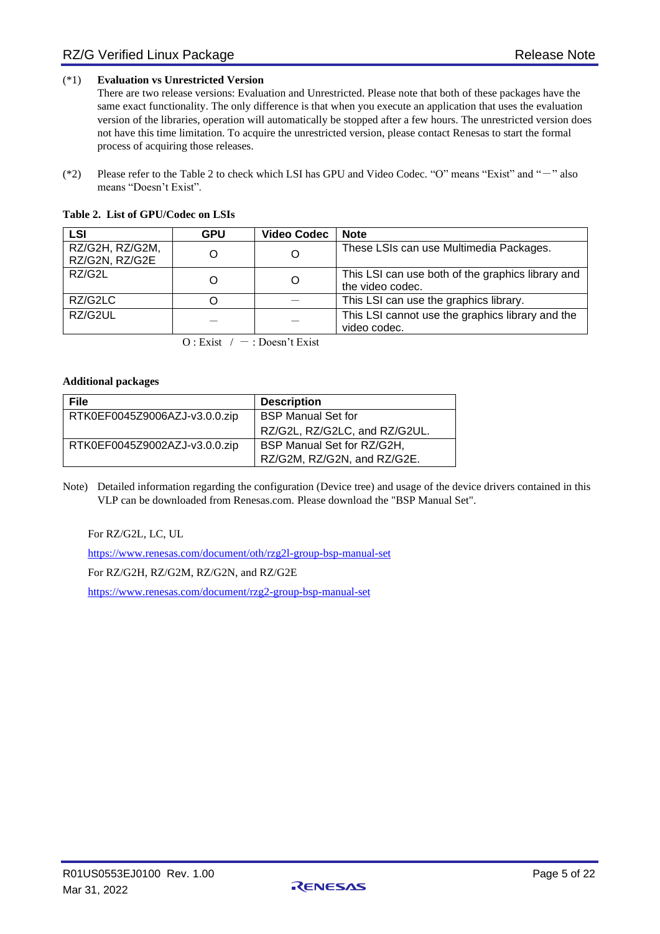#### (\*1) **Evaluation vs Unrestricted Version**

There are two release versions: Evaluation and Unrestricted. Please note that both of these packages have the same exact functionality. The only difference is that when you execute an application that uses the evaluation version of the libraries, operation will automatically be stopped after a few hours. The unrestricted version does not have this time limitation. To acquire the unrestricted version, please contact Renesas to start the formal process of acquiring those releases.

(\*2) Please refer to the [Table 2](#page-4-0) to check which LSI has GPU and Video Codec. "O" means "Exist" and "-" also means "Doesn't Exist".

<span id="page-4-0"></span>

| LSI                               | <b>GPU</b> | <b>Video Codec</b> | <b>Note</b>                                                           |
|-----------------------------------|------------|--------------------|-----------------------------------------------------------------------|
| RZ/G2H, RZ/G2M,<br>RZ/G2N, RZ/G2E |            |                    | These LSIs can use Multimedia Packages.                               |
| RZ/G2L                            |            | O                  | This LSI can use both of the graphics library and<br>the video codec. |
| RZ/G2LC                           |            |                    | This LSI can use the graphics library.                                |
| RZ/G2UL                           |            |                    | This LSI cannot use the graphics library and the<br>video codec.      |

 $O:$  Exist  $/ - :$  Doesn't Exist

#### **Additional packages**

| <b>File</b>                   | <b>Description</b>            |
|-------------------------------|-------------------------------|
| RTK0EF0045Z9006AZJ-v3.0.0.zip | <b>BSP Manual Set for</b>     |
|                               | RZ/G2L, RZ/G2LC, and RZ/G2UL. |
| RTK0EF0045Z9002AZJ-v3.0.0.zip | BSP Manual Set for RZ/G2H,    |
|                               | RZ/G2M, RZ/G2N, and RZ/G2E.   |

Note) Detailed information regarding the configuration (Device tree) and usage of the device drivers contained in this VLP can be downloaded from Renesas.com. Please download the "BSP Manual Set".

For RZ/G2L, LC, UL

<https://www.renesas.com/document/oth/rzg2l-group-bsp-manual-set>

For RZ/G2H, RZ/G2M, RZ/G2N, and RZ/G2E

<https://www.renesas.com/document/rzg2-group-bsp-manual-set>

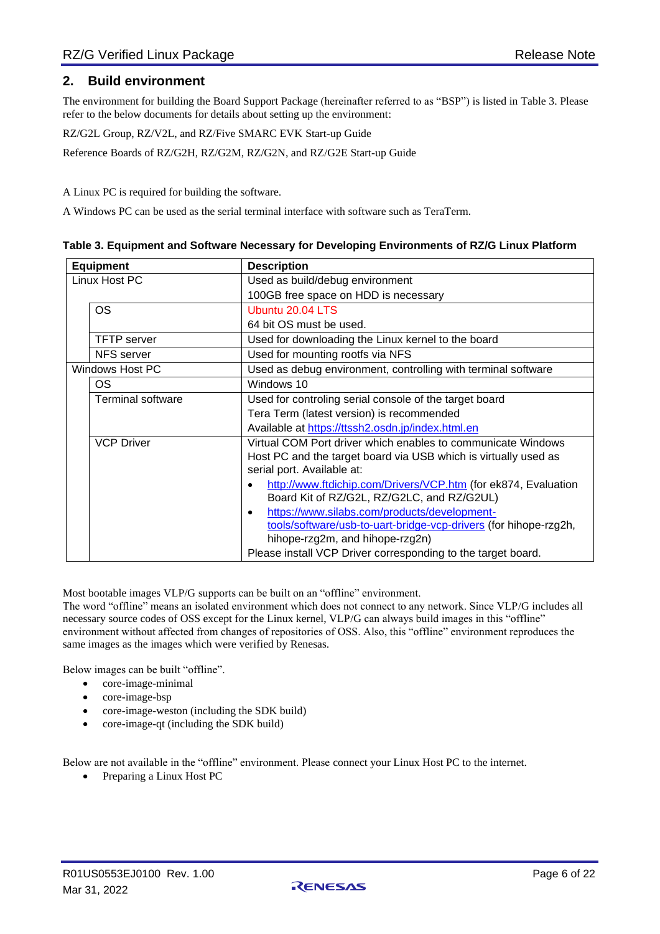## <span id="page-5-0"></span>**2. Build environment**

The environment for building the Board Support Package (hereinafter referred to as "BSP") is listed in [Table 3.](#page-5-1) Please refer to the below documents for details about setting up the environment:

RZ/G2L Group, RZ/V2L, and RZ/Five SMARC EVK Start-up Guide

Reference Boards of RZ/G2H, RZ/G2M, RZ/G2N, and RZ/G2E Start-up Guide

A Linux PC is required for building the software.

A Windows PC can be used as the serial terminal interface with software such as TeraTerm.

<span id="page-5-1"></span>

| Table 3. Equipment and Software Necessary for Developing Environments of RZ/G Linux Platform |
|----------------------------------------------------------------------------------------------|
|                                                                                              |

| <b>Equipment</b> |                          | <b>Description</b>                                               |
|------------------|--------------------------|------------------------------------------------------------------|
| Linux Host PC    |                          | Used as build/debug environment                                  |
|                  |                          | 100GB free space on HDD is necessary                             |
|                  | <b>OS</b>                | Ubuntu 20.04 LTS                                                 |
|                  |                          | 64 bit OS must be used.                                          |
|                  | <b>TFTP</b> server       | Used for downloading the Linux kernel to the board               |
|                  | <b>NFS</b> server        | Used for mounting rootfs via NFS                                 |
|                  | <b>Windows Host PC</b>   | Used as debug environment, controlling with terminal software    |
|                  | <b>OS</b>                | Windows 10                                                       |
|                  | <b>Terminal software</b> | Used for controling serial console of the target board           |
|                  |                          | Tera Term (latest version) is recommended                        |
|                  |                          | Available at https://ttssh2.osdn.jp/index.html.en                |
|                  | <b>VCP Driver</b>        | Virtual COM Port driver which enables to communicate Windows     |
|                  |                          | Host PC and the target board via USB which is virtually used as  |
|                  |                          | serial port. Available at:                                       |
|                  |                          | http://www.ftdichip.com/Drivers/VCP.htm (for ek874, Evaluation   |
|                  |                          | Board Kit of RZ/G2L, RZ/G2LC, and RZ/G2UL)                       |
|                  |                          | https://www.silabs.com/products/development-<br>$\bullet$        |
|                  |                          | tools/software/usb-to-uart-bridge-vcp-drivers (for hihope-rzg2h, |
|                  |                          | hihope-rzg2m, and hihope-rzg2n)                                  |
|                  |                          | Please install VCP Driver corresponding to the target board.     |

Most bootable images VLP/G supports can be built on an "offline" environment.

The word "offline" means an isolated environment which does not connect to any network. Since VLP/G includes all necessary source codes of OSS except for the Linux kernel, VLP/G can always build images in this "offline" environment without affected from changes of repositories of OSS. Also, this "offline" environment reproduces the same images as the images which were verified by Renesas.

Below images can be built "offline".

- core-image-minimal
- core-image-bsp
- core-image-weston (including the SDK build)
- core-image-qt (including the SDK build)

Below are not available in the "offline" environment. Please connect your Linux Host PC to the internet.

• Preparing a Linux Host PC

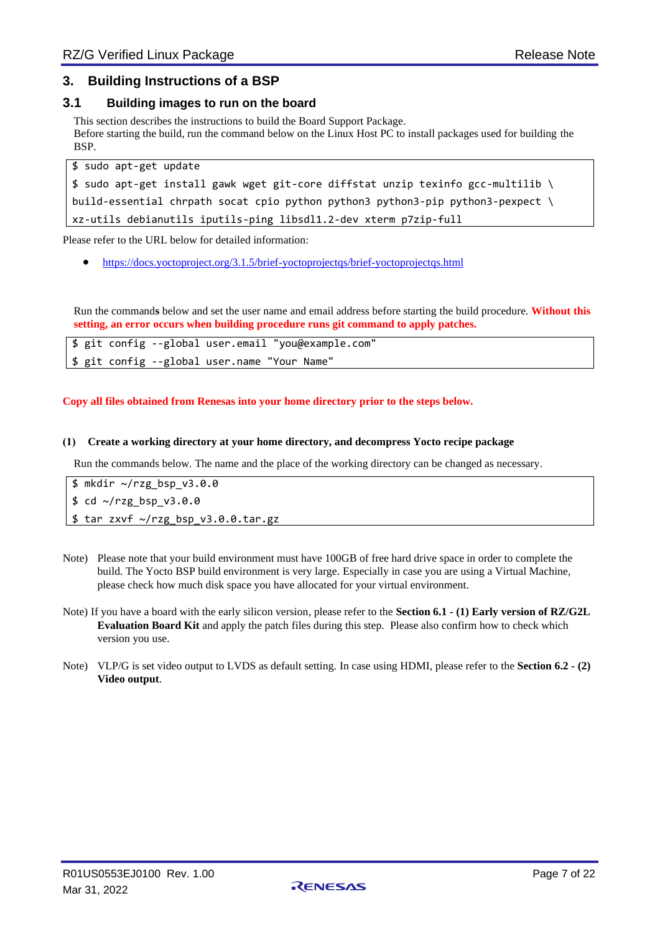## <span id="page-6-0"></span>**3. Building Instructions of a BSP**

#### <span id="page-6-1"></span>**3.1 Building images to run on the board**

This section describes the instructions to build the Board Support Package. Before starting the build, run the command below on the Linux Host PC to install packages used for building the **BSP** 

\$ sudo apt-get update \$ sudo apt-get install gawk wget git-core diffstat unzip texinfo gcc-multilib \ build-essential chrpath socat cpio python python3 python3-pip python3-pexpect  $\setminus$ xz-utils debianutils iputils-ping libsdl1.2-dev xterm p7zip-full

Please refer to the URL below for detailed information:

• <https://docs.yoctoproject.org/3.1.5/brief-yoctoprojectqs/brief-yoctoprojectqs.html>

Run the command**s** below and set the user name and email address before starting the build procedure. **Without this setting, an error occurs when building procedure runs git command to apply patches.**

|  |  | \$ git config --global user.email "you@example.com" |  |
|--|--|-----------------------------------------------------|--|
|  |  | \$ git config --global user.name "Your Name"        |  |

#### **Copy all files obtained from Renesas into your home directory prior to the steps below.**

#### **(1) Create a working directory at your home directory, and decompress Yocto recipe package**

Run the commands below. The name and the place of the working directory can be changed as necessary.

\$ mkdir ~/rzg\_bsp\_v3.0.0 \$ cd ~/rzg\_bsp\_v3.0.0 \$ tar zxvf ~/rzg\_bsp\_v3.0.0.tar.gz

- Note) Please note that your build environment must have 100GB of free hard drive space in order to complete the build. The Yocto BSP build environment is very large. Especially in case you are using a Virtual Machine, please check how much disk space you have allocated for your virtual environment.
- Note) If you have a board with the early silicon version, please refer to the **Sectio[n 6.1](#page-15-1) - [\(1\)](#page-15-3) [Early version of RZ/G2L](#page-15-3)  [Evaluation Board Kit](#page-15-3)** and apply the patch files during this step. Please also confirm how to check which version you use.
- Note) VLP/G is set video output to LVDS as default setting. In case using HDMI, please refer to the **Section [6.2](#page-15-2) - [\(2\)](#page-16-0) [Video output](#page-16-0)**.

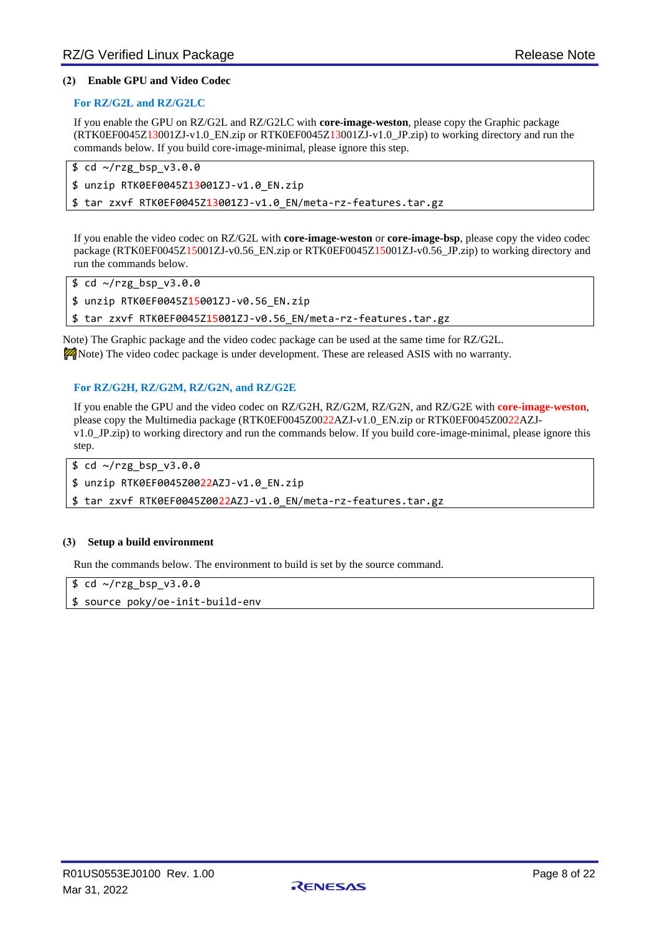#### **(2) Enable GPU and Video Codec**

#### **For RZ/G2L and RZ/G2LC**

If you enable the GPU on RZ/G2L and RZ/G2LC with **core-image-weston**, please copy the Graphic package (RTK0EF0045Z13001ZJ-v1.0\_EN.zip or RTK0EF0045Z13001ZJ-v1.0\_JP.zip) to working directory and run the commands below. If you build core-image-minimal, please ignore this step.

```
$ cd ~/rzg_bsp_v3.0.0
$ unzip RTK0EF0045Z13001ZJ-v1.0_EN.zip
$ tar zxvf RTK0EF0045Z13001ZJ-v1.0_EN/meta-rz-features.tar.gz
```
If you enable the video codec on RZ/G2L with **core-image-weston** or **core-image-bsp**, please copy the video codec package (RTK0EF0045Z15001ZJ-v0.56\_EN.zip or RTK0EF0045Z15001ZJ-v0.56\_JP.zip) to working directory and run the commands below.

\$ cd ~/rzg\_bsp\_v3.0.0

\$ unzip RTK0EF0045Z15001ZJ-v0.56\_EN.zip

\$ tar zxvf RTK0EF0045Z15001ZJ-v0.56\_EN/meta-rz-features.tar.gz

Note) The Graphic package and the video codec package can be used at the same time for RZ/G2L. **P** Note) The video codec package is under development. These are released ASIS with no warranty.

#### **For RZ/G2H, RZ/G2M, RZ/G2N, and RZ/G2E**

If you enable the GPU and the video codec on RZ/G2H, RZ/G2M, RZ/G2N, and RZ/G2E with **core-image-weston**, please copy the Multimedia package (RTK0EF0045Z0022AZJ-v1.0\_EN.zip or RTK0EF0045Z0022AZJv1.0\_JP.zip) to working directory and run the commands below. If you build core-image-minimal, please ignore this step.

\$ cd ~/rzg\_bsp\_v3.0.0

\$ unzip RTK0EF0045Z0022AZJ-v1.0\_EN.zip

\$ tar zxvf RTK0EF0045Z0022AZJ-v1.0 EN/meta-rz-features.tar.gz

#### **(3) Setup a build environment**

Run the commands below. The environment to build is set by the source command.

\$ cd ~/rzg\_bsp\_v3.0.0

\$ source poky/oe-init-build-env

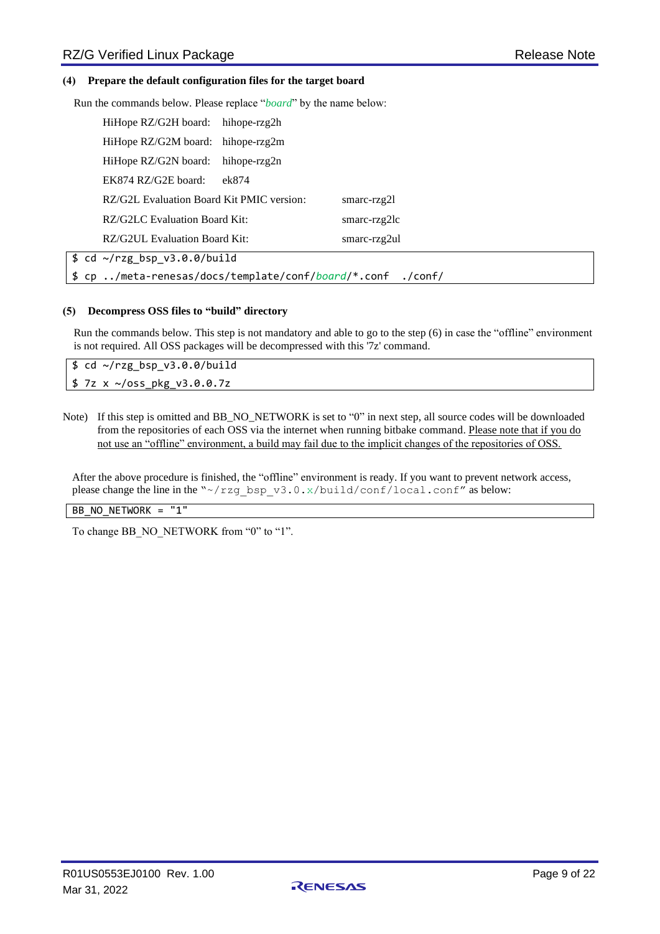#### **(4) Prepare the default configuration files for the target board**

Run the commands below. Please replace "*board*" by the name below:

| HiHope RZ/G2H board: hihope-rzg2h                   |              |                |  |
|-----------------------------------------------------|--------------|----------------|--|
| HiHope RZ/G2M board: hihope-rzg2m                   |              |                |  |
| HiHope RZ/G2N board:                                | hihope-rzg2n |                |  |
| EK874 RZ/G2E board:                                 | ek874        |                |  |
| RZ/G2L Evaluation Board Kit PMIC version:           |              | smarc-rzg $2l$ |  |
| RZ/G2LC Evaluation Board Kit:                       |              | smarc-rzg2lc   |  |
| RZ/G2UL Evaluation Board Kit:                       |              | smarc-rzg2ul   |  |
| $$ cd ~ \sim/rzg$ bsp v3.0.0/build                  |              |                |  |
| \$ cp /meta-renesas/docs/template/conf/board/*.conf |              | $./$ conf $/$  |  |

#### **(5) Decompress OSS files to "build" directory**

Run the commands below. This step is not mandatory and able to go to the step (6) in case the "offline" environment is not required. All OSS packages will be decompressed with this '7z' command.

\$ cd ~/rzg\_bsp\_v3.0.0/build \$ 7z x ~/oss\_pkg\_v3.0.0.7z

Note) If this step is omitted and BB\_NO\_NETWORK is set to "0" in next step, all source codes will be downloaded from the repositories of each OSS via the internet when running bitbake command. Please note that if you do not use an "offline" environment, a build may fail due to the implicit changes of the repositories of OSS.

After the above procedure is finished, the "offline" environment is ready. If you want to prevent network access, please change the line in the "~/rzg\_bsp\_v3.0.x/build/conf/local.conf" as below:

#### BB\_NO\_NETWORK = "1"

To change BB\_NO\_NETWORK from "0" to "1".

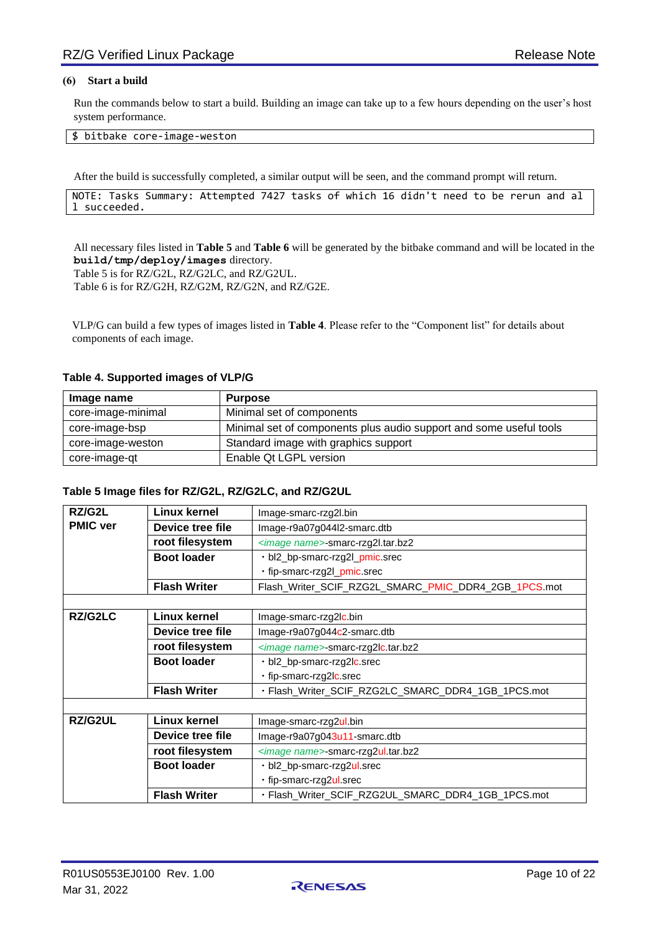#### **(6) Start a build**

Run the commands below to start a build. Building an image can take up to a few hours depending on the user's host system performance.

#### \$ bitbake core-image-weston

After the build is successfully completed, a similar output will be seen, and the command prompt will return.

```
NOTE: Tasks Summary: Attempted 7427 tasks of which 16 didn't need to be rerun and al
l succeeded.
```
All necessary files listed in **Table 5** and **Table 6** will be generated by the bitbake command and will be located in the **build/tmp/deploy/images** directory.

Table 5 is for RZ/G2L, RZ/G2LC, and RZ/G2UL.

Table 6 is for RZ/G2H, RZ/G2M, RZ/G2N, and RZ/G2E.

VLP/G can build a few types of images listed in **[Table 4](#page-9-0)**. Please refer to the "Component list" for details about components of each image.

| Image name         | <b>Purpose</b>                                                     |
|--------------------|--------------------------------------------------------------------|
| core-image-minimal | Minimal set of components                                          |
| core-image-bsp     | Minimal set of components plus audio support and some useful tools |
| core-image-weston  | Standard image with graphics support                               |
| core-image-qt      | Enable Qt LGPL version                                             |

#### <span id="page-9-0"></span>**Table 4. Supported images of VLP/G**

#### **Table 5 Image files for RZ/G2L, RZ/G2LC, and RZ/G2UL**

| RZ/G2L          | Linux kernel        | Image-smarc-rzg2l.bin                                |
|-----------------|---------------------|------------------------------------------------------|
| <b>PMIC ver</b> | Device tree file    | Image-r9a07g044l2-smarc.dtb                          |
|                 | root filesystem     | <image name=""/> -smarc-rzg2l.tar.bz2                |
|                 | <b>Boot loader</b>  | bl2_bp-smarc-rzg2l_pmic.srec                         |
|                 |                     | fip-smarc-rzg2l_pmic.srec                            |
|                 | <b>Flash Writer</b> | Flash_Writer_SCIF_RZG2L_SMARC_PMIC_DDR4_2GB_1PCS.mot |
|                 |                     |                                                      |
| RZ/G2LC         | <b>Linux kernel</b> | Image-smarc-rzg2lc.bin                               |
|                 | Device tree file    | Image-r9a07g044c2-smarc.dtb                          |
|                 | root filesystem     | <image name=""/> -smarc-rzg2lc.tar.bz2               |
|                 | <b>Boot loader</b>  | bl2_bp-smarc-rzg2lc.srec                             |
|                 |                     | fip-smarc-rzg2lc.srec                                |
|                 | <b>Flash Writer</b> | · Flash_Writer_SCIF_RZG2LC_SMARC_DDR4_1GB_1PCS.mot   |
|                 |                     |                                                      |
| RZ/G2UL         | <b>Linux kernel</b> | Image-smarc-rzg2ul.bin                               |
|                 | Device tree file    | Image-r9a07g043u11-smarc.dtb                         |
|                 | root filesystem     | <image name=""/> -smarc-rzg2ul.tar.bz2               |
|                 | <b>Boot loader</b>  | bl2_bp-smarc-rzg2ul.srec                             |
|                 |                     | · fip-smarc-rzg2ul.srec                              |
|                 | <b>Flash Writer</b> | · Flash_Writer_SCIF_RZG2UL_SMARC_DDR4_1GB_1PCS.mot   |

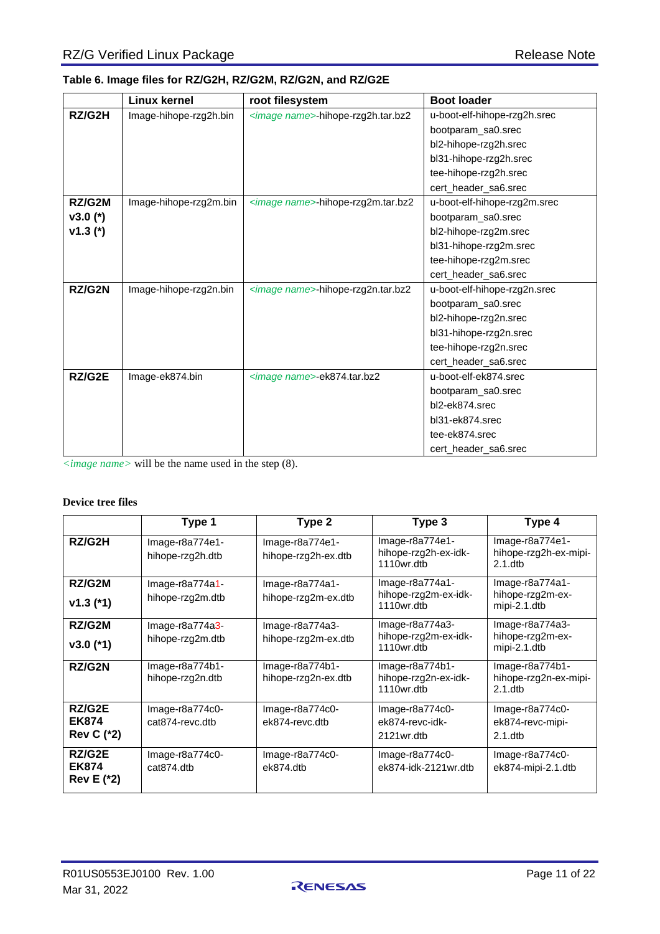<span id="page-10-0"></span>

|            | <b>Linux kernel</b>    | root filesystem                        | <b>Boot loader</b>           |
|------------|------------------------|----------------------------------------|------------------------------|
| RZ/G2H     | Image-hihope-rzg2h.bin | <image name=""/> -hihope-rzg2h.tar.bz2 | u-boot-elf-hihope-rzg2h.srec |
|            |                        |                                        | bootparam_sa0.srec           |
|            |                        |                                        | bl2-hihope-rzg2h.srec        |
|            |                        |                                        | bl31-hihope-rzg2h.srec       |
|            |                        |                                        | tee-hihope-rzg2h.srec        |
|            |                        |                                        | cert_header_sa6.srec         |
| RZ/G2M     | Image-hihope-rzg2m.bin | <image name=""/> -hihope-rzg2m.tar.bz2 | u-boot-elf-hihope-rzg2m.srec |
| $v3.0(*)$  |                        |                                        | bootparam_sa0.srec           |
| $v1.3$ (*) |                        |                                        | bl2-hihope-rzg2m.srec        |
|            |                        |                                        | bl31-hihope-rzg2m.srec       |
|            |                        |                                        | tee-hihope-rzg2m.srec        |
|            |                        |                                        | cert_header_sa6.srec         |
| RZ/G2N     | Image-hihope-rzg2n.bin | <image name=""/> -hihope-rzg2n.tar.bz2 | u-boot-elf-hihope-rzg2n.srec |
|            |                        |                                        | bootparam_sa0.srec           |
|            |                        |                                        | bl2-hihope-rzg2n.srec        |
|            |                        |                                        | bl31-hihope-rzg2n.srec       |
|            |                        |                                        | tee-hihope-rzg2n.srec        |
|            |                        |                                        | cert_header_sa6.srec         |
| RZ/G2E     | Image-ek874.bin        | <image name=""/> -ek874.tar.bz2        | u-boot-elf-ek874.srec        |
|            |                        |                                        | bootparam_sa0.srec           |
|            |                        |                                        | bl2-ek874.srec               |
|            |                        |                                        | bl31-ek874.srec              |
|            |                        |                                        | tee-ek874.srec               |
|            |                        |                                        | cert_header_sa6.srec         |

*<image name>* will be the name used in the step (8).

#### **Device tree files**

|                                             | Type 1                                | Type 2                                  | Type 3                                                 | Type 4                                                  |
|---------------------------------------------|---------------------------------------|-----------------------------------------|--------------------------------------------------------|---------------------------------------------------------|
| RZ/G2H                                      | $Image-6a774e1-$<br>hihope-rzg2h.dtb  | Image-r8a774e1-<br>hihope-rzg2h-ex.dtb  | $Image-6a774e1-$<br>hihope-rzg2h-ex-idk-<br>1110wr.dtb | Image-r8a774e1-<br>hihope-rzg2h-ex-mipi-<br>$2.1$ .dtb  |
| RZ/G2M<br>$v1.3$ (*1)                       | $Image-r8a774a1-$<br>hihope-rzg2m.dtb | Image-r8a774a1-<br>hihope-rzg2m-ex.dtb  | $Image-6a774a1-$<br>hihope-rzg2m-ex-idk-<br>1110wr.dtb | Image-r8a774a1-<br>hihope-rzg2m-ex-<br>mipi-2.1.dtb     |
| RZ/G2M<br>$v3.0$ (*1)                       | $Image-r8a774a3-$<br>hihope-rzg2m.dtb | Image-r8a774a3-<br>hihope-rzg2m-ex.dtb  | Image-r8a774a3-<br>hihope-rzg2m-ex-idk-<br>1110wr.dtb  | Image-r8a774a3-<br>hihope-rzg2m-ex-<br>mipi-2.1.dtb     |
| RZ/G2N                                      | $Image-6a774b1-$<br>hihope-rzg2n.dtb  | $Image-6a774b1-$<br>hihope-rzg2n-ex.dtb | Image-r8a774b1-<br>hihope-rzg2n-ex-idk-<br>1110wr.dtb  | $Image-6a774b1-$<br>hihope-rzg2n-ex-mipi-<br>$2.1$ .dtb |
| RZ/G2E<br><b>EK874</b><br><b>Rev C (*2)</b> | $Image-6a774c0-$<br>cat874-revc.dtb   | $Image-6a774c0-$<br>ek874-revc.dtb      | $Image-6a774c0-$<br>ek874-revc-idk-<br>2121wr.dtb      | $Image-6a774c0-$<br>ek874-revc-mipi-<br>$2.1$ .dtb      |
| RZ/G2E<br><b>EK874</b><br><b>Rev E (*2)</b> | Image-r8a774c0-<br>cat874.dtb         | Image-r8a774c0-<br>ek874.dtb            | $Image-6a774c0-$<br>ek874-idk-2121wr.dtb               | $Image-6a774c0-$<br>ek874-mipi-2.1.dtb                  |

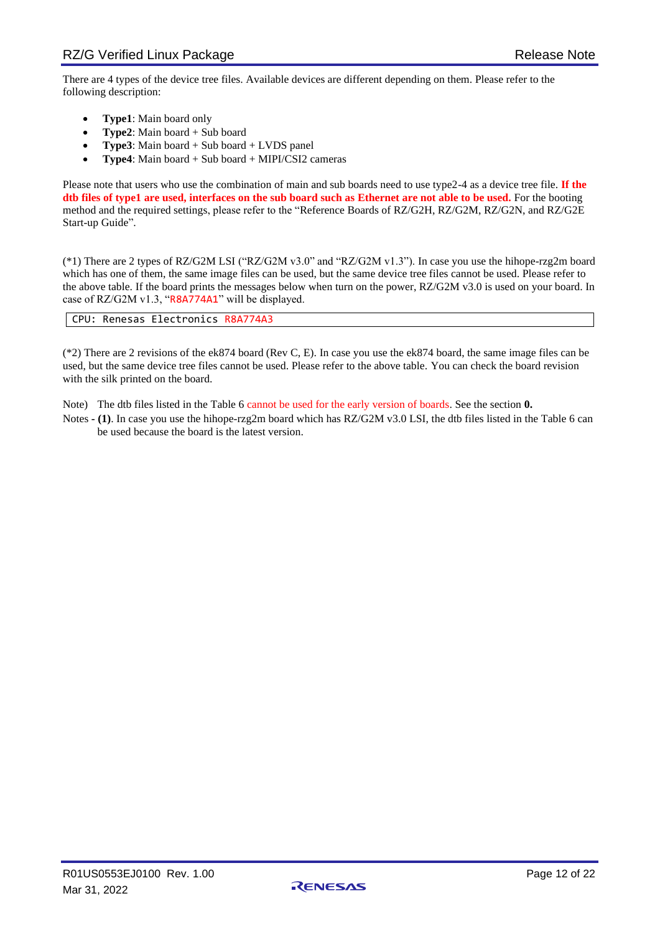There are 4 types of the device tree files. Available devices are different depending on them. Please refer to the following description:

- **Type1**: Main board only
- **Type2**: Main board + Sub board
- **Type3**: Main board + Sub board + LVDS panel
- **Type4**: Main board + Sub board + MIPI/CSI2 cameras

Please note that users who use the combination of main and sub boards need to use type2-4 as a device tree file. **If the dtb files of type1 are used, interfaces on the sub board such as Ethernet are not able to be used.** For the booting method and the required settings, please refer to the "Reference Boards of RZ/G2H, RZ/G2M, RZ/G2N, and RZ/G2E Start-up Guide".

(\*1) There are 2 types of RZ/G2M LSI ("RZ/G2M v3.0" and "RZ/G2M v1.3"). In case you use the hihope-rzg2m board which has one of them, the same image files can be used, but the same device tree files cannot be used. Please refer to the above table. If the board prints the messages below when turn on the power, RZ/G2M v3.0 is used on your board. In case of RZ/G2M v1.3, "R8A774A1" will be displayed.

CPU: Renesas Electronics R8A774A3

(\*2) There are 2 revisions of the ek874 board (Rev C, E). In case you use the ek874 board, the same image files can be used, but the same device tree files cannot be used. Please refer to the above table. You can check the board revision with the silk printed on the board.

Note) The dtb files listed in the [Table 6](#page-10-0) cannot be used for the early version of boards. See the section **[0.](#page-15-4)** 

[Notes](#page-15-4) **- [\(1\)](#page-15-5)**. In case you use the hihope-rzg2m board which has RZ/G2M v3.0 LSI, the dtb files listed in the [Table 6](#page-10-0) can be used because the board is the latest version.

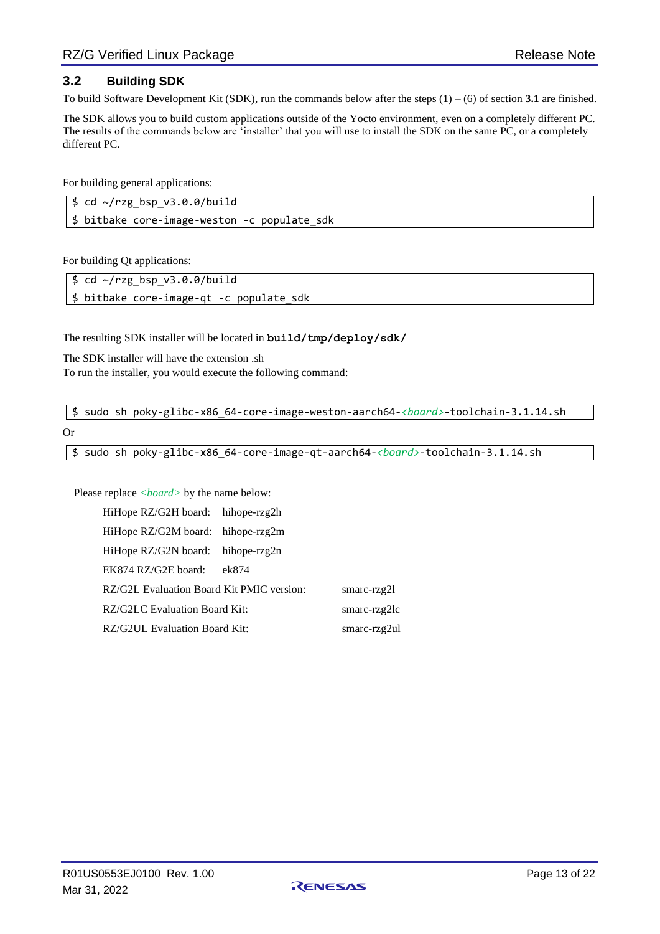## <span id="page-12-0"></span>**3.2 Building SDK**

To build Software Development Kit (SDK), run the commands below after the steps  $(1) - (6)$  of section **[3.1](#page-6-1)** are finished.

The SDK allows you to build custom applications outside of the Yocto environment, even on a completely different PC. The results of the commands below are 'installer' that you will use to install the SDK on the same PC, or a completely different PC.

For building general applications:

|  | $$ cd ~ \sim/rzg_bsp_v3.0.0/build$           |  |  |
|--|----------------------------------------------|--|--|
|  | \$ bitbake core-image-weston -c populate sdk |  |  |

For building Qt applications:

| $\frac{1}{2}$ cd ~/rzg_bsp_v3.0.0/build  |  |
|------------------------------------------|--|
| \$ bitbake core-image-qt -c populate_sdk |  |

The resulting SDK installer will be located in **build/tmp/deploy/sdk/**

The SDK installer will have the extension .sh To run the installer, you would execute the following command:

\$ sudo sh poky-glibc-x86\_64-core-image-weston-aarch64-*<board>*-toolchain-3.1.14.sh

Or

\$ sudo sh poky-glibc-x86\_64-core-image-qt-aarch64-*<board>*-toolchain-3.1.14.sh

Please replace *<board>* by the name below:

| HiHope RZ/G2H board: hihope-rzg2h         |       |                 |
|-------------------------------------------|-------|-----------------|
| HiHope RZ/G2M board: hihope-rzg2m         |       |                 |
| HiHope RZ/G2N board: hihope-rzg2n         |       |                 |
| EK874 RZ/G2E board:                       | ek874 |                 |
| RZ/G2L Evaluation Board Kit PMIC version: |       | smarc- $rzg2l$  |
| RZ/G2LC Evaluation Board Kit:             |       | smarc- $rzg2lc$ |
| RZ/G2UL Evaluation Board Kit:             |       | smarc-rzg2ul    |

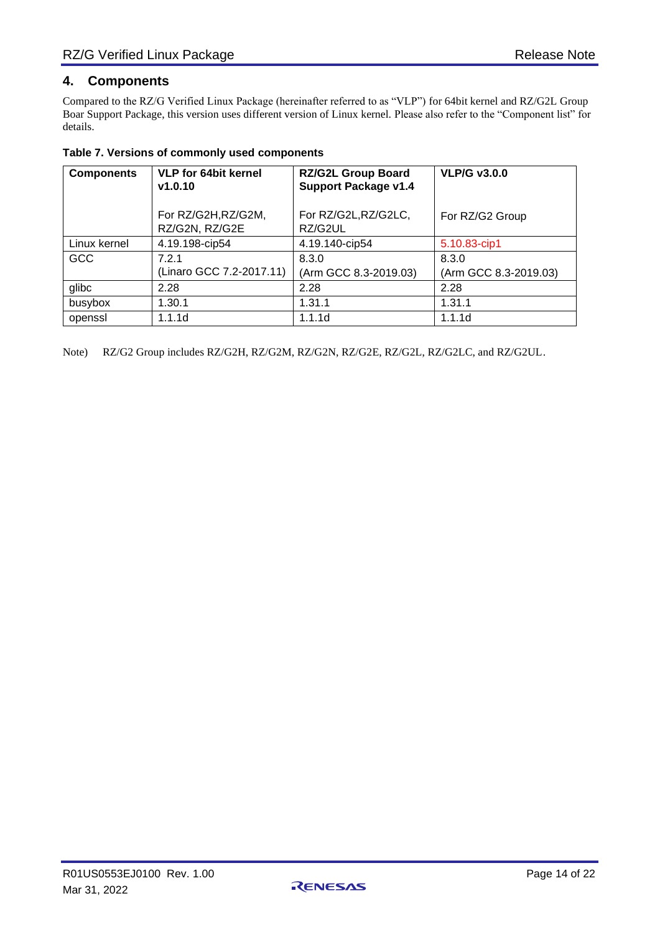## <span id="page-13-0"></span>**4. Components**

Compared to the RZ/G Verified Linux Package (hereinafter referred to as "VLP") for 64bit kernel and RZ/G2L Group Boar Support Package, this version uses different version of Linux kernel. Please also refer to the "Component list" for details.

<span id="page-13-1"></span>

|  |  | Table 7. Versions of commonly used components |
|--|--|-----------------------------------------------|
|  |  |                                               |

| <b>Components</b> | <b>VLP for 64bit kernel</b><br>v1.0.10 | <b>RZ/G2L Group Board</b><br><b>Support Package v1.4</b> | <b>VLP/G v3.0.0</b>            |
|-------------------|----------------------------------------|----------------------------------------------------------|--------------------------------|
|                   | For RZ/G2H, RZ/G2M,<br>RZ/G2N, RZ/G2E  | For RZ/G2L, RZ/G2LC,<br>RZ/G2UL                          | For RZ/G2 Group                |
| Linux kernel      | 4.19.198-cip54                         | 4.19.140-cip54                                           | 5.10.83-cip1                   |
| <b>GCC</b>        | 7.2.1<br>(Linaro GCC 7.2-2017.11)      | 8.3.0<br>(Arm GCC 8.3-2019.03)                           | 8.3.0<br>(Arm GCC 8.3-2019.03) |
| glibc             | 2.28                                   | 2.28                                                     | 2.28                           |
| busybox           | 1.30.1                                 | 1.31.1                                                   | 1.31.1                         |
| openssl           | 1.1.1d                                 | 1.1.1d                                                   | 1.1.1d                         |

Note) RZ/G2 Group includes RZ/G2H, RZ/G2M, RZ/G2N, RZ/G2E, RZ/G2L, RZ/G2LC, and RZ/G2UL.

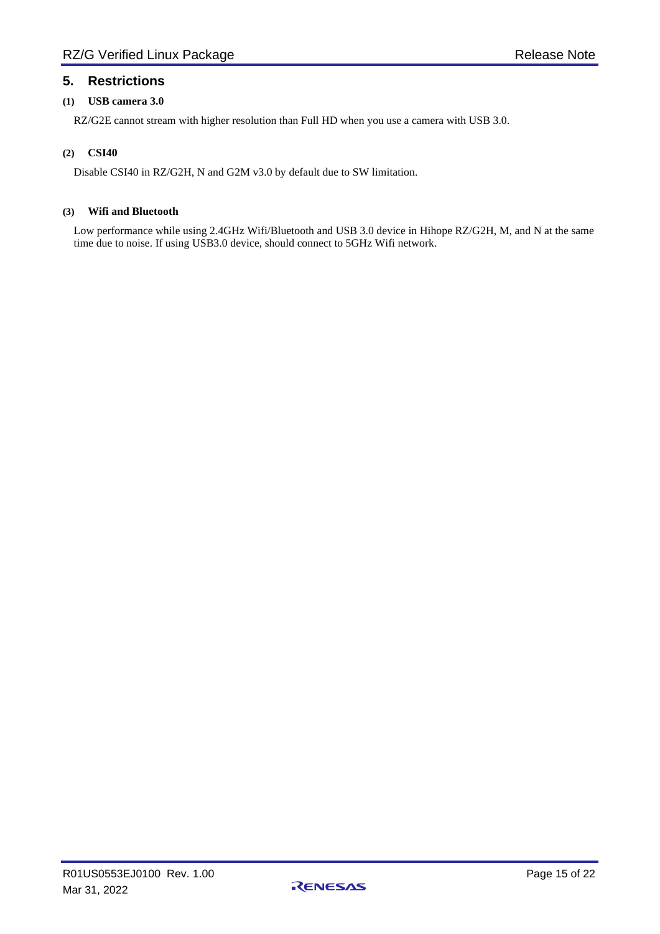## <span id="page-14-0"></span>**5. Restrictions**

#### **(1) USB camera 3.0**

RZ/G2E cannot stream with higher resolution than Full HD when you use a camera with USB 3.0.

#### **(2) CSI40**

Disable CSI40 in RZ/G2H, N and G2M v3.0 by default due to SW limitation.

#### **(3) Wifi and Bluetooth**

Low performance while using 2.4GHz Wifi/Bluetooth and USB 3.0 device in Hihope RZ/G2H, M, and N at the same time due to noise. If using USB3.0 device, should connect to 5GHz Wifi network.

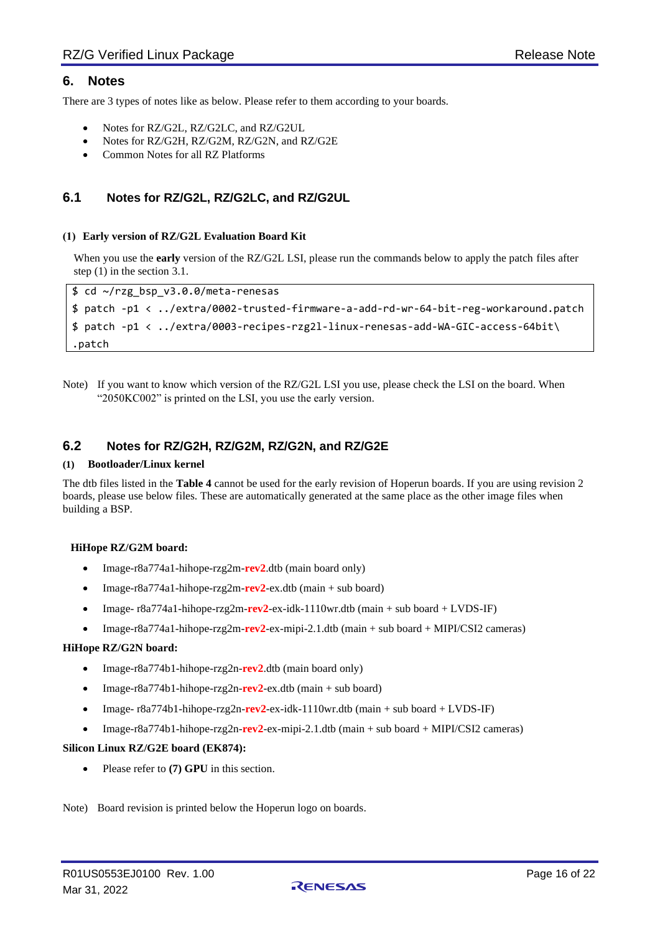## <span id="page-15-0"></span>**6. Notes**

There are 3 types of notes like as below. Please refer to them according to your boards.

- Notes for RZ/G2L, RZ/G2LC, and RZ/G2UL
- Notes for RZ/G2H, RZ/G2M, RZ/G2N, and RZ/G2E
- Common Notes for all RZ Platforms

## <span id="page-15-1"></span>**6.1 Notes for RZ/G2L, RZ/G2LC, and RZ/G2UL**

#### <span id="page-15-3"></span>**(1) Early version of RZ/G2L Evaluation Board Kit**

When you use the **early** version of the RZ/G2L LSI, please run the commands below to apply the patch files after step (1) in the section [3.1.](#page-6-1)

```
$ cd ~/rzg_bsp_v3.0.0/meta-renesas
$ patch -p1 < ../extra/0002-trusted-firmware-a-add-rd-wr-64-bit-reg-workaround.patch
$ patch -p1 < ../extra/0003-recipes-rzg2l-linux-renesas-add-WA-GIC-access-64bit\
.patch
```
Note) If you want to know which version of the RZ/G2L LSI you use, please check the LSI on the board. When "2050KC002" is printed on the LSI, you use the early version.

## <span id="page-15-4"></span><span id="page-15-2"></span>**6.2 Notes for RZ/G2H, RZ/G2M, RZ/G2N, and RZ/G2E**

#### <span id="page-15-5"></span>**(1) Bootloader/Linux kernel**

The dtb files listed in the **Table 4** cannot be used for the early revision of Hoperun boards. If you are using revision 2 boards, please use below files. These are automatically generated at the same place as the other image files when building a BSP.

#### **HiHope RZ/G2M board:**

- Image-r8a774a1-hihope-rzg2m-**rev2**.dtb (main board only)
- Image-r8a774a1-hihope-rzg2m-**rev2**-ex.dtb (main + sub board)
- Image- r8a774a1-hihope-rzg2m-**rev2**-ex-idk-1110wr.dtb (main + sub board + LVDS-IF)
- Image-r8a774a1-hihope-rzg2m-**rev2**-ex-mipi-2.1.dtb (main + sub board + MIPI/CSI2 cameras)

#### **HiHope RZ/G2N board:**

- Image-r8a774b1-hihope-rzg2n-**rev2**.dtb (main board only)
- Image-r8a774b1-hihope-rzg2n-**rev2**-ex.dtb (main + sub board)
- Image- r8a774b1-hihope-rzg2n-**rev2**-ex-idk-1110wr.dtb (main + sub board + LVDS-IF)
- Image-r8a774b1-hihope-rzg2n-**rev2**-ex-mipi-2.1.dtb (main + sub board + MIPI/CSI2 cameras)

#### **Silicon Linux RZ/G2E board (EK874):**

• Please refer to **[\(7\)](#page-17-0) [GPU](#page-17-0)** in this section.

Note) Board revision is printed below the Hoperun logo on boards.

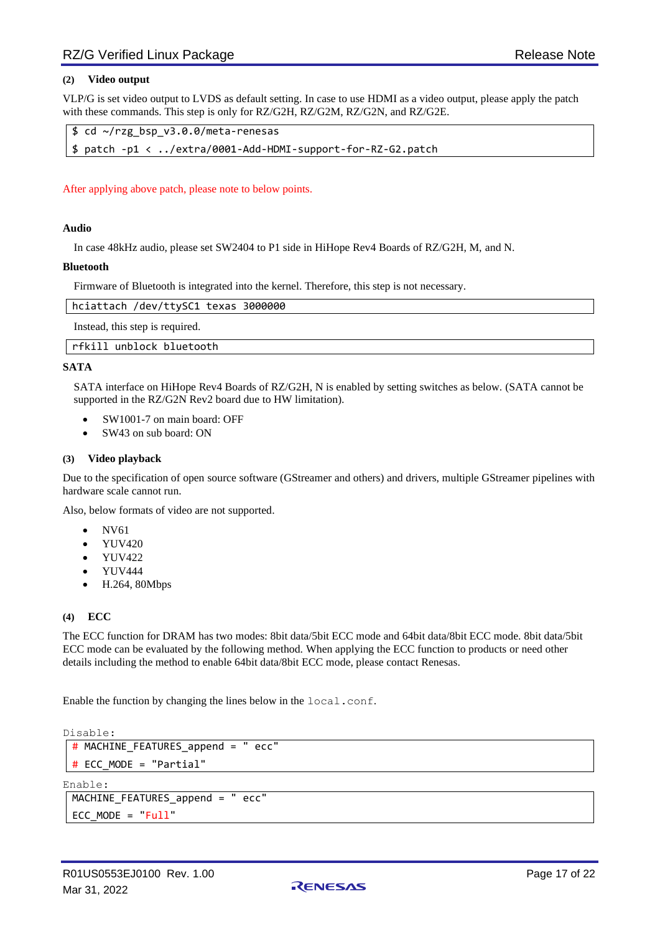#### <span id="page-16-0"></span>**(2) Video output**

VLP/G is set video output to LVDS as default setting. In case to use HDMI as a video output, please apply the patch with these commands. This step is only for RZ/G2H, RZ/G2M, RZ/G2N, and RZ/G2E.

```
$ cd ~/rzg_bsp_v3.0.0/meta-renesas
$ patch -p1 < ../extra/0001-Add-HDMI-support-for-RZ-G2.patch
```
After applying above patch, please note to below points.

#### **Audio**

In case 48kHz audio, please set SW2404 to P1 side in HiHope Rev4 Boards of RZ/G2H, M, and N.

#### **Bluetooth**

Firmware of Bluetooth is integrated into the kernel. Therefore, this step is not necessary.

| hciattach /dev/ttySC1 texas 3000000 |  |
|-------------------------------------|--|
| Instead, this step is required.     |  |

rfkill unblock bluetooth

#### **SATA**

SATA interface on HiHope Rev4 Boards of RZ/G2H, N is enabled by setting switches as below. (SATA cannot be supported in the RZ/G2N Rev2 board due to HW limitation).

- SW1001-7 on main board: OFF
- SW43 on sub board: ON

#### **(3) Video playback**

Due to the specification of open source software (GStreamer and others) and drivers, multiple GStreamer pipelines with hardware scale cannot run.

Also, below formats of video are not supported.

- NV61
- YUV420
- YUV422
- YUV444
- H.264, 80Mbps

#### **(4) ECC**

The ECC function for DRAM has two modes: 8bit data/5bit ECC mode and 64bit data/8bit ECC mode. 8bit data/5bit ECC mode can be evaluated by the following method. When applying the ECC function to products or need other details including the method to enable 64bit data/8bit ECC mode, please contact Renesas.

Enable the function by changing the lines below in the local.conf.

Disable:

```
# MACHINE_FEATURES_append = " ecc"
# ECC_MODE = "Partial"
```
Enable:

```
MACHINE_FEATURES_append = " ecc"
ECC_MODE = "Full"
```
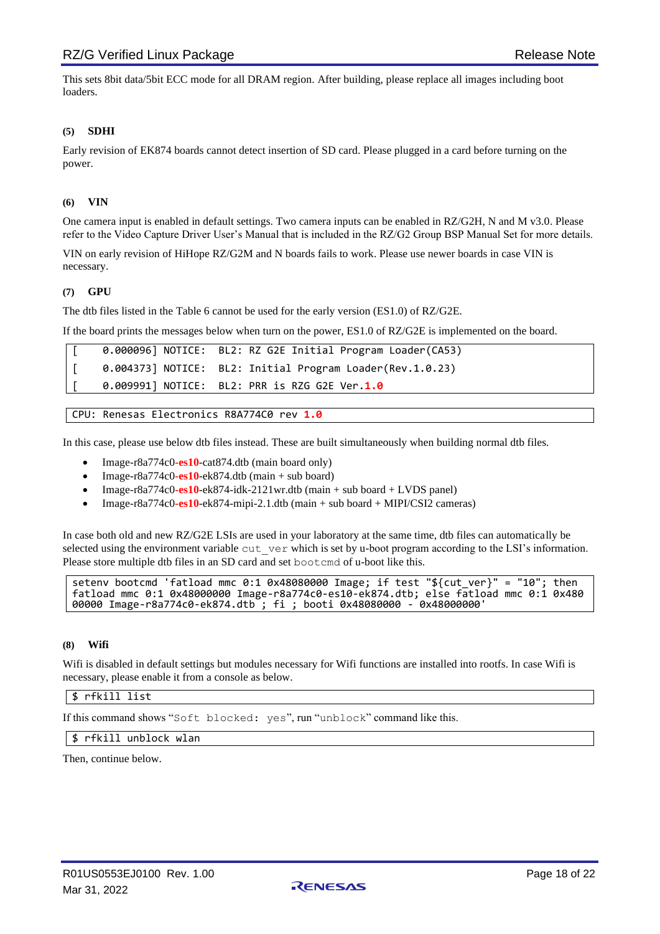This sets 8bit data/5bit ECC mode for all DRAM region. After building, please replace all images including boot loaders.

#### **(5) SDHI**

Early revision of EK874 boards cannot detect insertion of SD card. Please plugged in a card before turning on the power.

#### **(6) VIN**

One camera input is enabled in default settings. Two camera inputs can be enabled in RZ/G2H, N and M v3.0. Please refer to the Video Capture Driver User's Manual that is included in the RZ/G2 Group BSP Manual Set for more details.

VIN on early revision of HiHope RZ/G2M and N boards fails to work. Please use newer boards in case VIN is necessary.

#### <span id="page-17-0"></span>**(7) GPU**

The dtb files listed in the [Table 6](#page-10-0) cannot be used for the early version (ES1.0) of RZ/G2E.

If the board prints the messages below when turn on the power, ES1.0 of RZ/G2E is implemented on the board.

|  | 0.000096] NOTICE: BL2: RZ G2E Initial Program Loader(CA53) |
|--|------------------------------------------------------------|
|  | 0.004373] NOTICE: BL2: Initial Program Loader(Rev.1.0.23)  |
|  | 0.009991] NOTICE: BL2: PRR is RZG G2E Ver.1.0              |

```
CPU: Renesas Electronics R8A774C0 rev 1.0
```
In this case, please use below dtb files instead. These are built simultaneously when building normal dtb files.

- Image-r8a774c0**-es10**-cat874.dtb (main board only)
- $Image-r8a774c0-es10-ek874.dtb$  (main  $+$  sub board)
- Image-r8a774c0**-es10**-ek874-idk-2121wr.dtb (main + sub board + LVDS panel)
- Image-r8a774c0**-es10**-ek874-mipi-2.1.dtb (main + sub board + MIPI/CSI2 cameras)

In case both old and new RZ/G2E LSIs are used in your laboratory at the same time, dtb files can automatically be selected using the environment variable cut\_ver which is set by u-boot program according to the LSI's information. Please store multiple dtb files in an SD card and set bootcmd of u-boot like this.

```
setenv bootcmd 'fatload mmc 0:1 0x48080000 Image; if test "${cut_ver}" = "10"; then 
fatload mmc 0:1 0x48000000 Image-r8a774c0-es10-ek874.dtb; else fatload mmc 0:1 0x480
00000 Image-r8a774c0-ek874.dtb ; fi ; booti 0x48080000 - 0x48000000
```
#### **(8) Wifi**

Wifi is disabled in default settings but modules necessary for Wifi functions are installed into rootfs. In case Wifi is necessary, please enable it from a console as below.

#### \$ rfkill list

If this command shows "Soft blocked: yes", run "unblock" command like this.

#### \$ rfkill unblock wlan

Then, continue below.

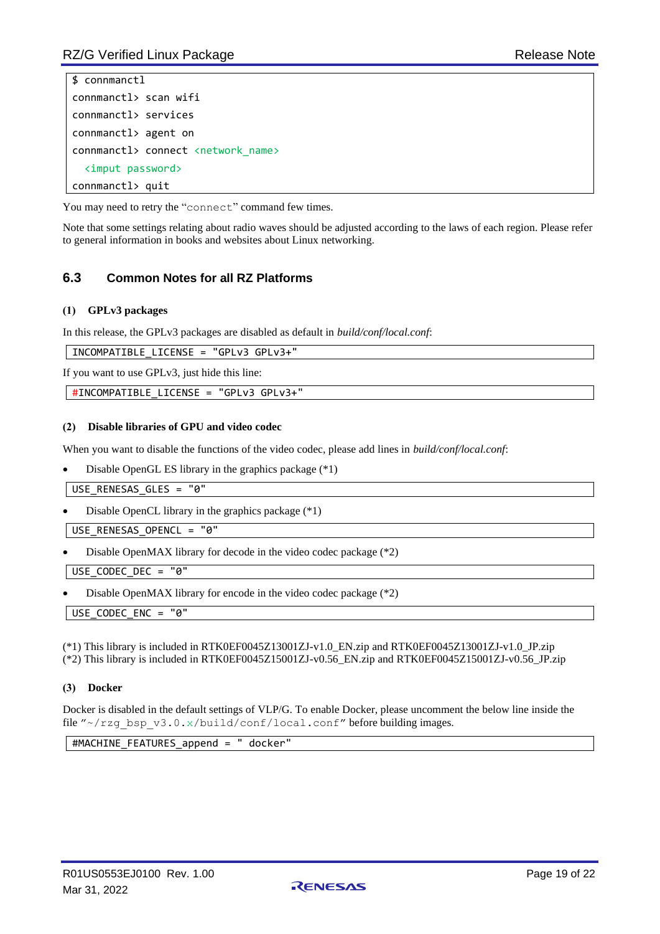```
$ connmanctl
connmanctl> scan wifi
connmanctl> services
connmanctl> agent on
connmanctl> connect <network_name>
   <imput password>
connmanctl> quit
```
You may need to retry the "connect" command few times.

Note that some settings relating about radio waves should be adjusted according to the laws of each region. Please refer to general information in books and websites about Linux networking.

## <span id="page-18-0"></span>**6.3 Common Notes for all RZ Platforms**

#### **(1) GPLv3 packages**

In this release, the GPLv3 packages are disabled as default in *build/conf/local.conf*:

INCOMPATIBLE\_LICENSE = "GPLv3 GPLv3+"

If you want to use GPLv3, just hide this line:

#INCOMPATIBLE\_LICENSE = "GPLv3 GPLv3+"

#### **(2) Disable libraries of GPU and video codec**

When you want to disable the functions of the video codec, please add lines in *build/conf/local.conf*:

• Disable OpenGL ES library in the graphics package (\*1)

USE\_RENESAS\_GLES = "0"

• Disable OpenCL library in the graphics package (\*1)

USE RENESAS OPENCL = "0"

• Disable OpenMAX library for decode in the video codec package (\*2)

USE\_CODEC\_DEC = "0"

• Disable OpenMAX library for encode in the video codec package (\*2)

USE\_CODEC\_ENC = "0"

(\*1) This library is included in RTK0EF0045Z13001ZJ-v1.0\_EN.zip and RTK0EF0045Z13001ZJ-v1.0\_JP.zip (\*2) This library is included in RTK0EF0045Z15001ZJ-v0.56\_EN.zip and RTK0EF0045Z15001ZJ-v0.56\_JP.zip

#### **(3) Docker**

Docker is disabled in the default settings of VLP/G. To enable Docker, please uncomment the below line inside the file "~/rzg\_bsp\_v3.0.x/build/conf/local.conf" before building images.

#MACHINE\_FEATURES\_append = " docker"

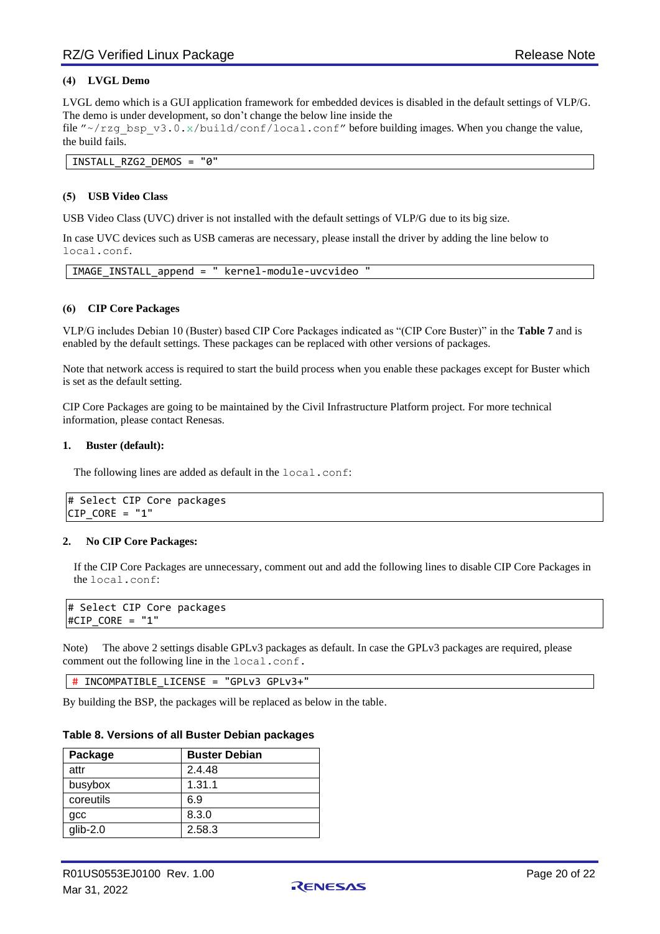#### **(4) LVGL Demo**

LVGL demo which is a GUI application framework for embedded devices is disabled in the default settings of VLP/G. The demo is under development, so don't change the below line inside the

file "~/rzg\_bsp\_v3.0.x/build/conf/local.conf" before building images. When you change the value, the build fails.

INSTALL\_RZG2\_DEMOS = "0"

#### **(5) USB Video Class**

USB Video Class (UVC) driver is not installed with the default settings of VLP/G due to its big size.

In case UVC devices such as USB cameras are necessary, please install the driver by adding the line below to local.conf.

IMAGE\_INSTALL\_append = " kernel-module-uvcvideo "

#### **(6) CIP Core Packages**

VLP/G includes Debian 10 (Buster) based CIP Core Packages indicated as "(CIP Core Buster)" in the **[Table 7](#page-13-1)** and is enabled by the default settings. These packages can be replaced with other versions of packages.

Note that network access is required to start the build process when you enable these packages except for Buster which is set as the default setting.

CIP Core Packages are going to be maintained by the Civil Infrastructure Platform project. For more technical information, please contact Renesas.

#### **1. Buster (default):**

The following lines are added as default in the local.conf:

# Select CIP Core packages  $CIP_CORE = "1"$ 

#### **2. No CIP Core Packages:**

If the CIP Core Packages are unnecessary, comment out and add the following lines to disable CIP Core Packages in the local.conf:

# Select CIP Core packages #CIP\_CORE = "1"

Note) The above 2 settings disable GPLv3 packages as default. In case the GPLv3 packages are required, please comment out the following line in the local.conf.

# INCOMPATIBLE\_LICENSE = "GPLv3 GPLv3+"

By building the BSP, the packages will be replaced as below in the table.

|  |  |  |  |  | Table 8. Versions of all Buster Debian packages |
|--|--|--|--|--|-------------------------------------------------|
|--|--|--|--|--|-------------------------------------------------|

| Package    | <b>Buster Debian</b> |
|------------|----------------------|
| attr       | 2.4.48               |
| busybox    | 1.31.1               |
| coreutils  | 6.9                  |
| gcc        | 8.3.0                |
| $qlib-2.0$ | 2.58.3               |

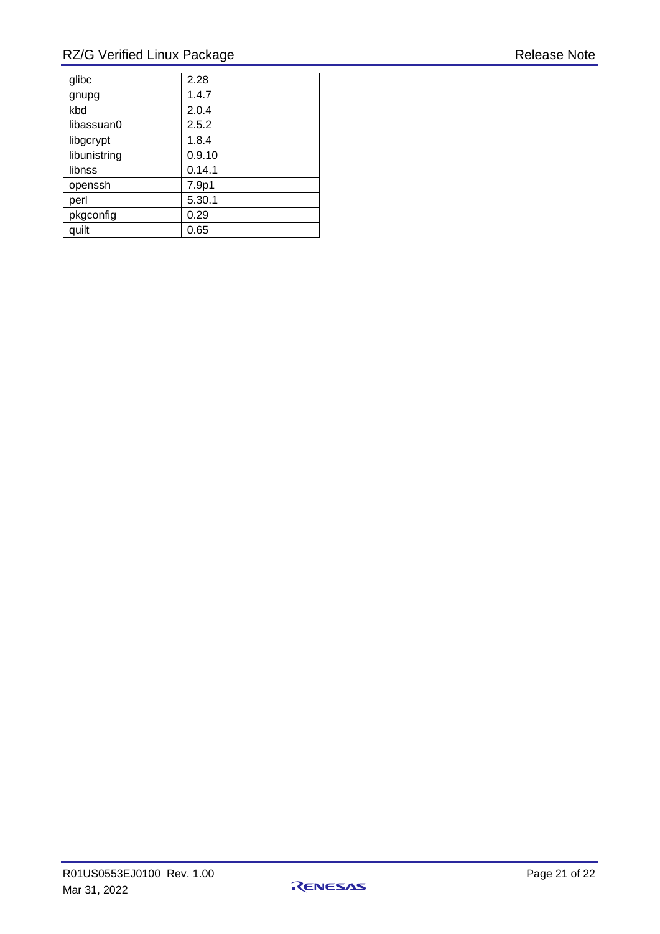## RZ/G Verified Linux Package Release Note

| glibc        | 2.28   |
|--------------|--------|
| gnupg        | 1.4.7  |
| kbd          | 2.0.4  |
| libassuan0   | 2.5.2  |
| libgcrypt    | 1.8.4  |
| libunistring | 0.9.10 |
| libnss       | 0.14.1 |
| openssh      | 7.9p1  |
| perl         | 5.30.1 |
| pkgconfig    | 0.29   |
| quilt        | 0.65   |